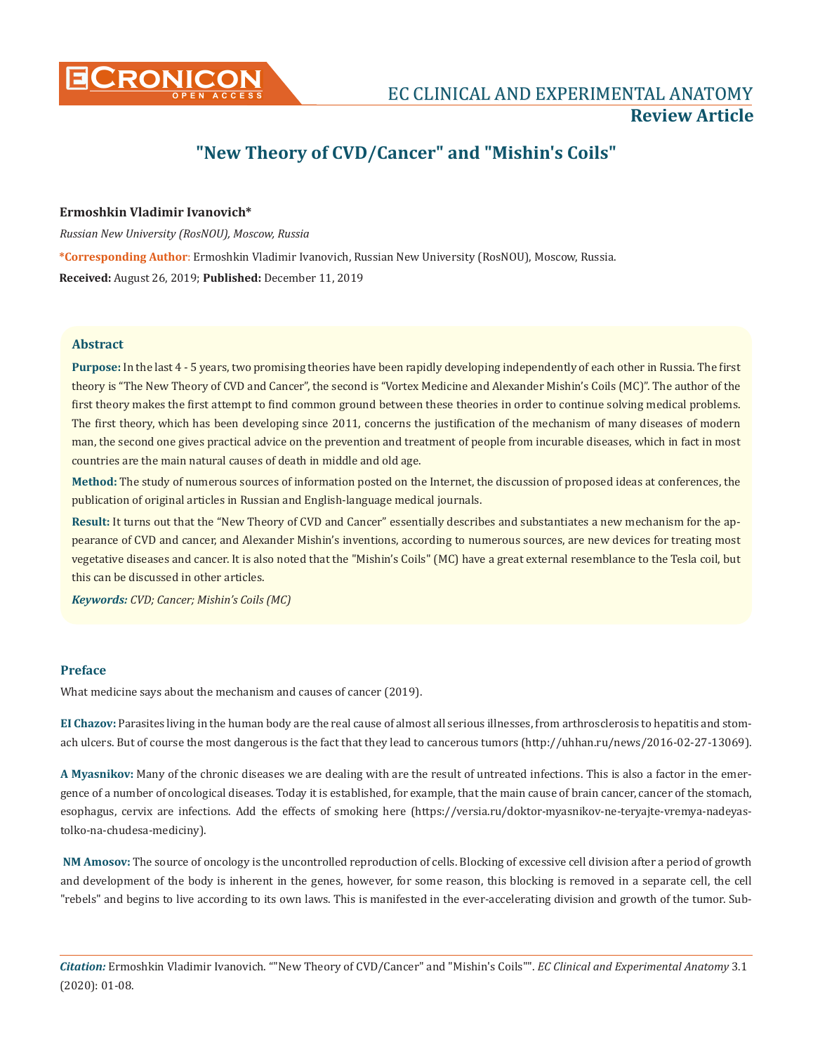

# **"New Theory of CVD/Cancer" and "Mishin's Coils"**

## **Ermoshkin Vladimir Ivanovich\***

*Russian New University (RosNOU), Moscow, Russia*

**\*Corresponding Author**: Ermoshkin Vladimir Ivanovich, Russian New University (RosNOU), Moscow, Russia. **Received:** August 26, 2019; **Published:** December 11, 2019

## **Abstract**

**Purpose:** In the last 4 - 5 years, two promising theories have been rapidly developing independently of each other in Russia. The first theory is "The New Theory of CVD and Cancer", the second is "Vortex Medicine and Alexander Mishin's Coils (MC)". The author of the first theory makes the first attempt to find common ground between these theories in order to continue solving medical problems. The first theory, which has been developing since 2011, concerns the justification of the mechanism of many diseases of modern man, the second one gives practical advice on the prevention and treatment of people from incurable diseases, which in fact in most countries are the main natural causes of death in middle and old age.

**Method:** The study of numerous sources of information posted on the Internet, the discussion of proposed ideas at conferences, the publication of original articles in Russian and English-language medical journals.

**Result:** It turns out that the "New Theory of CVD and Cancer" essentially describes and substantiates a new mechanism for the appearance of CVD and cancer, and Alexander Mishin's inventions, according to numerous sources, are new devices for treating most vegetative diseases and cancer. It is also noted that the "Mishin's Coils" (MC) have a great external resemblance to the Tesla coil, but this can be discussed in other articles.

*Keywords: CVD; Cancer; Mishin's Coils (MC)*

## **Preface**

What medicine says about the mechanism and causes of cancer (2019).

**EI Chazov:** Parasites living in the human body are the real cause of almost all serious illnesses, from arthrosclerosis to hepatitis and stomach ulcers. But of course the most dangerous is the fact that they lead to cancerous tumors [\(http://uhhan.ru/news/2016-02-27-13069](http://uhhan.ru/news/2016-02-27-13069)).

**A Myasnikov:** Many of the chronic diseases we are dealing with are the result of untreated infections. This is also a factor in the emergence of a number of oncological diseases. Today it is established, for example, that the main cause of brain cancer, cancer of the stomach, esophagus, cervix are infections. Add the effects of smoking here ([https://versia.ru/doktor-myasnikov-ne-teryajte-vremya-nadeyas](https://versia.ru/doktor-myasnikov-ne-teryajte-vremya-nadeyas-tolko-na-chudesa-mediciny)[tolko-na-chudesa-mediciny](https://versia.ru/doktor-myasnikov-ne-teryajte-vremya-nadeyas-tolko-na-chudesa-mediciny)).

**NM Amosov:** The source of oncology is the uncontrolled reproduction of cells. Blocking of excessive cell division after a period of growth and development of the body is inherent in the genes, however, for some reason, this blocking is removed in a separate cell, the cell "rebels" and begins to live according to its own laws. This is manifested in the ever-accelerating division and growth of the tumor. Sub-

*Citation:* Ermoshkin Vladimir Ivanovich. ""New Theory of CVD/Cancer" and "Mishin's Coils"". *EC Clinical and Experimental Anatomy* 3.1 (2020): 01-08.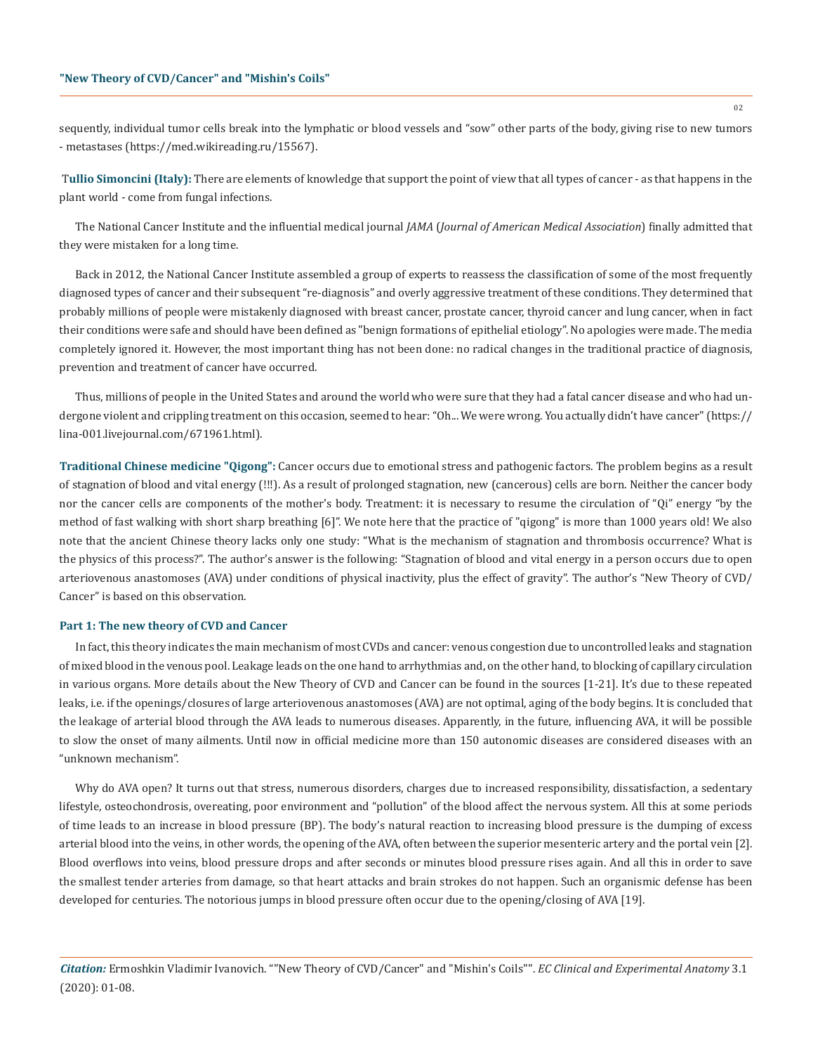sequently, individual tumor cells break into the lymphatic or blood vessels and "sow" other parts of the body, giving rise to new tumors - metastases ([https://med.wikireading.ru/15567\)](https://med.wikireading.ru/15567).

T**ullio Simoncini (Italy):** There are elements of knowledge that support the point of view that all types of cancer - as that happens in the plant world - come from fungal infections.

The National Cancer Institute and the influential medical journal *JAMA* (*Journal of American Medical Association*) finally admitted that they were mistaken for a long time.

Back in 2012, the National Cancer Institute assembled a group of experts to reassess the classification of some of the most frequently diagnosed types of cancer and their subsequent "re-diagnosis" and overly aggressive treatment of these conditions. They determined that probably millions of people were mistakenly diagnosed with breast cancer, prostate cancer, thyroid cancer and lung cancer, when in fact their conditions were safe and should have been defined as "benign formations of epithelial etiology". No apologies were made. The media completely ignored it. However, the most important thing has not been done: no radical changes in the traditional practice of diagnosis, prevention and treatment of cancer have occurred.

Thus, millions of people in the United States and around the world who were sure that they had a fatal cancer disease and who had undergone violent and crippling treatment on this occasion, seemed to hear: "Oh... We were wrong. You actually didn't have cancer" ([https://](https://lina-001.livejournal.com/671961.html) [lina-001.livejournal.com/671961.html](https://lina-001.livejournal.com/671961.html)).

**Traditional Chinese medicine "Qigong":** Cancer occurs due to emotional stress and pathogenic factors. The problem begins as a result of stagnation of blood and vital energy (!!!). As a result of prolonged stagnation, new (cancerous) cells are born. Neither the cancer body nor the cancer cells are components of the mother's body. Treatment: it is necessary to resume the circulation of "Qi" energy "by the method of fast walking with short sharp breathing [6]". We note here that the practice of "qigong" is more than 1000 years old! We also note that the ancient Chinese theory lacks only one study: "What is the mechanism of stagnation and thrombosis occurrence? What is the physics of this process?". The author's answer is the following: "Stagnation of blood and vital energy in a person occurs due to open arteriovenous anastomoses (AVA) under conditions of physical inactivity, plus the effect of gravity". The author's "New Theory of CVD/ Cancer" is based on this observation.

#### **Part 1: The new theory of CVD and Cancer**

In fact, this theory indicates the main mechanism of most CVDs and cancer: venous congestion due to uncontrolled leaks and stagnation of mixed blood in the venous pool. Leakage leads on the one hand to arrhythmias and, on the other hand, to blocking of capillary circulation in various organs. More details about the New Theory of CVD and Cancer can be found in the sources [1-21]. It's due to these repeated leaks, i.e. if the openings/closures of large arteriovenous anastomoses (AVA) are not optimal, aging of the body begins. It is concluded that the leakage of arterial blood through the AVA leads to numerous diseases. Apparently, in the future, influencing AVA, it will be possible to slow the onset of many ailments. Until now in official medicine more than 150 autonomic diseases are considered diseases with an "unknown mechanism".

Why do AVA open? It turns out that stress, numerous disorders, charges due to increased responsibility, dissatisfaction, a sedentary lifestyle, osteochondrosis, overeating, poor environment and "pollution" of the blood affect the nervous system. All this at some periods of time leads to an increase in blood pressure (BP). The body's natural reaction to increasing blood pressure is the dumping of excess arterial blood into the veins, in other words, the opening of the AVA, often between the superior mesenteric artery and the portal vein [2]. Blood overflows into veins, blood pressure drops and after seconds or minutes blood pressure rises again. And all this in order to save the smallest tender arteries from damage, so that heart attacks and brain strokes do not happen. Such an organismic defense has been developed for centuries. The notorious jumps in blood pressure often occur due to the opening/closing of AVA [19].

*Citation:* Ermoshkin Vladimir Ivanovich. ""New Theory of CVD/Cancer" and "Mishin's Coils"". *EC Clinical and Experimental Anatomy* 3.1 (2020): 01-08.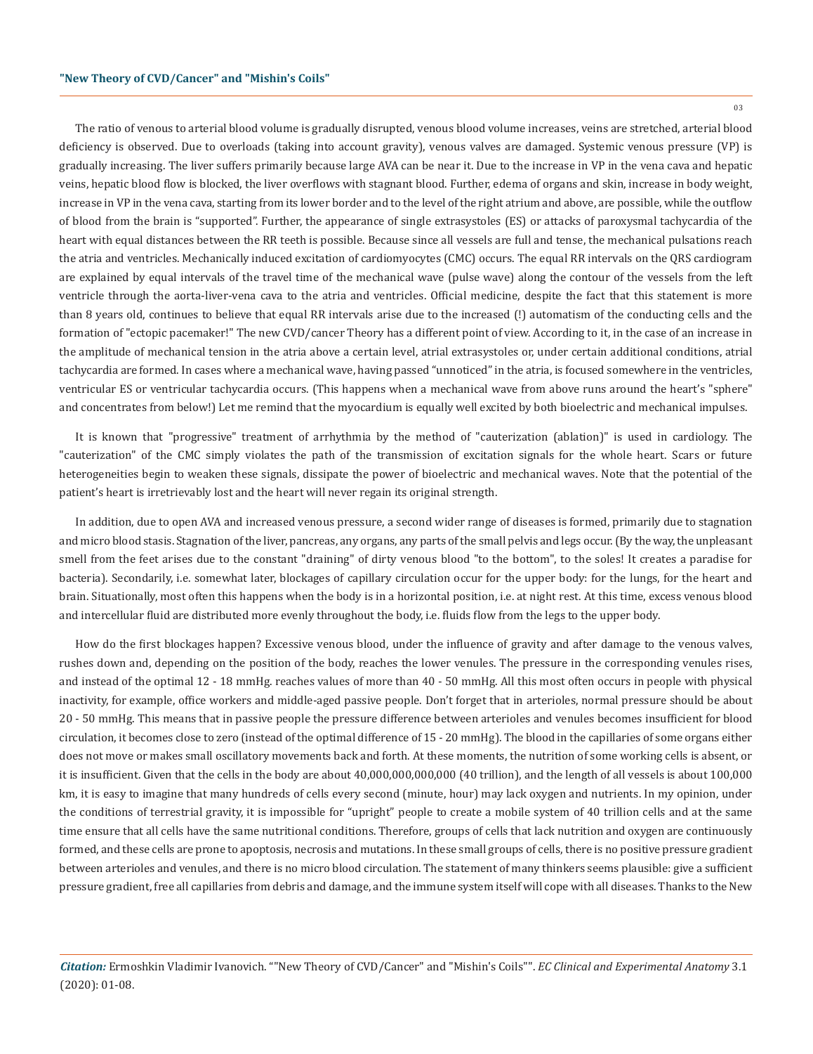The ratio of venous to arterial blood volume is gradually disrupted, venous blood volume increases, veins are stretched, arterial blood deficiency is observed. Due to overloads (taking into account gravity), venous valves are damaged. Systemic venous pressure (VP) is gradually increasing. The liver suffers primarily because large AVA can be near it. Due to the increase in VP in the vena cava and hepatic veins, hepatic blood flow is blocked, the liver overflows with stagnant blood. Further, edema of organs and skin, increase in body weight, increase in VP in the vena cava, starting from its lower border and to the level of the right atrium and above, are possible, while the outflow of blood from the brain is "supported". Further, the appearance of single extrasystoles (ES) or attacks of paroxysmal tachycardia of the heart with equal distances between the RR teeth is possible. Because since all vessels are full and tense, the mechanical pulsations reach the atria and ventricles. Mechanically induced excitation of cardiomyocytes (CMC) occurs. The equal RR intervals on the QRS cardiogram are explained by equal intervals of the travel time of the mechanical wave (pulse wave) along the contour of the vessels from the left ventricle through the aorta-liver-vena cava to the atria and ventricles. Official medicine, despite the fact that this statement is more than 8 years old, continues to believe that equal RR intervals arise due to the increased (!) automatism of the conducting cells and the formation of "ectopic pacemaker!" The new CVD/cancer Theory has a different point of view. According to it, in the case of an increase in the amplitude of mechanical tension in the atria above a certain level, atrial extrasystoles or, under certain additional conditions, atrial tachycardia are formed. In cases where a mechanical wave, having passed "unnoticed" in the atria, is focused somewhere in the ventricles, ventricular ES or ventricular tachycardia occurs. (This happens when a mechanical wave from above runs around the heart's "sphere" and concentrates from below!) Let me remind that the myocardium is equally well excited by both bioelectric and mechanical impulses.

It is known that "progressive" treatment of arrhythmia by the method of "cauterization (ablation)" is used in cardiology. The "cauterization" of the CMC simply violates the path of the transmission of excitation signals for the whole heart. Scars or future heterogeneities begin to weaken these signals, dissipate the power of bioelectric and mechanical waves. Note that the potential of the patient's heart is irretrievably lost and the heart will never regain its original strength.

In addition, due to open AVA and increased venous pressure, a second wider range of diseases is formed, primarily due to stagnation and micro blood stasis. Stagnation of the liver, pancreas, any organs, any parts of the small pelvis and legs occur. (By the way, the unpleasant smell from the feet arises due to the constant "draining" of dirty venous blood "to the bottom", to the soles! It creates a paradise for bacteria). Secondarily, i.e. somewhat later, blockages of capillary circulation occur for the upper body: for the lungs, for the heart and brain. Situationally, most often this happens when the body is in a horizontal position, i.e. at night rest. At this time, excess venous blood and intercellular fluid are distributed more evenly throughout the body, i.e. fluids flow from the legs to the upper body.

How do the first blockages happen? Excessive venous blood, under the influence of gravity and after damage to the venous valves, rushes down and, depending on the position of the body, reaches the lower venules. The pressure in the corresponding venules rises, and instead of the optimal 12 - 18 mmHg. reaches values of more than 40 - 50 mmHg. All this most often occurs in people with physical inactivity, for example, office workers and middle-aged passive people. Don't forget that in arterioles, normal pressure should be about 20 - 50 mmHg. This means that in passive people the pressure difference between arterioles and venules becomes insufficient for blood circulation, it becomes close to zero (instead of the optimal difference of 15 - 20 mmHg). The blood in the capillaries of some organs either does not move or makes small oscillatory movements back and forth. At these moments, the nutrition of some working cells is absent, or it is insufficient. Given that the cells in the body are about 40,000,000,000,000 (40 trillion), and the length of all vessels is about 100,000 km, it is easy to imagine that many hundreds of cells every second (minute, hour) may lack oxygen and nutrients. In my opinion, under the conditions of terrestrial gravity, it is impossible for "upright" people to create a mobile system of 40 trillion cells and at the same time ensure that all cells have the same nutritional conditions. Therefore, groups of cells that lack nutrition and oxygen are continuously formed, and these cells are prone to apoptosis, necrosis and mutations. In these small groups of cells, there is no positive pressure gradient between arterioles and venules, and there is no micro blood circulation. The statement of many thinkers seems plausible: give a sufficient pressure gradient, free all capillaries from debris and damage, and the immune system itself will cope with all diseases. Thanks to the New

03

*Citation:* Ermoshkin Vladimir Ivanovich. ""New Theory of CVD/Cancer" and "Mishin's Coils"". *EC Clinical and Experimental Anatomy* 3.1 (2020): 01-08.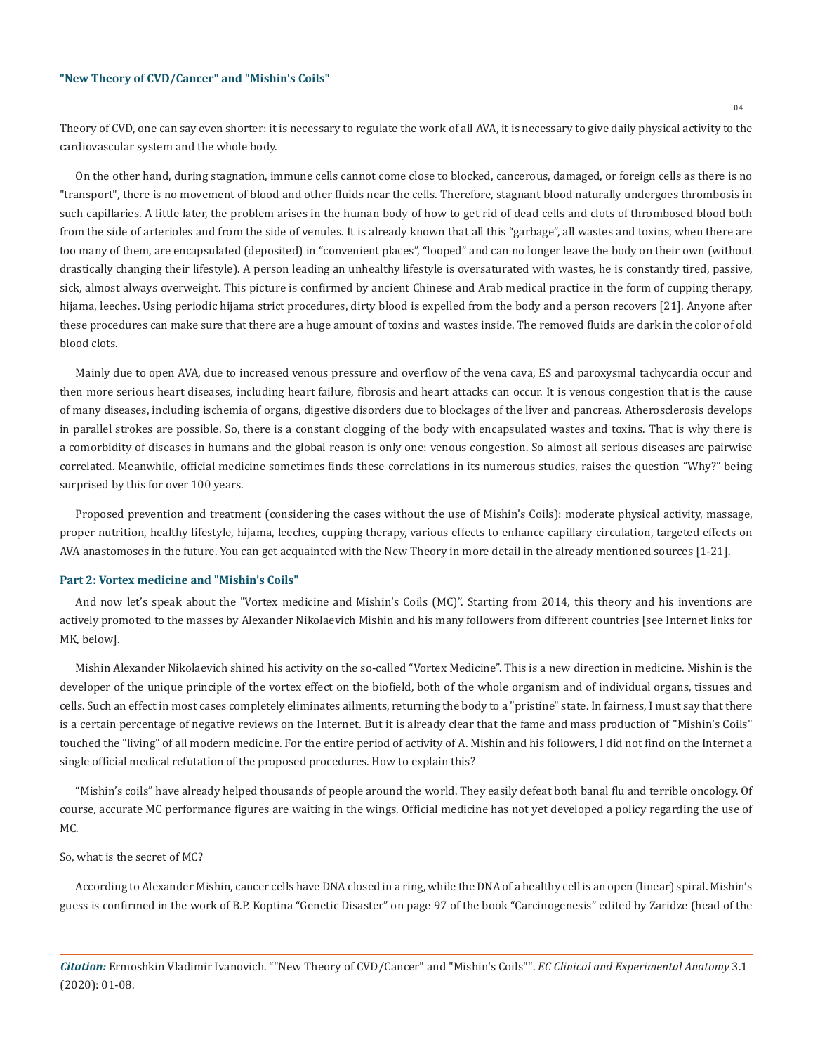Theory of CVD, one can say even shorter: it is necessary to regulate the work of all AVA, it is necessary to give daily physical activity to the cardiovascular system and the whole body.

On the other hand, during stagnation, immune cells cannot come close to blocked, cancerous, damaged, or foreign cells as there is no "transport", there is no movement of blood and other fluids near the cells. Therefore, stagnant blood naturally undergoes thrombosis in such capillaries. A little later, the problem arises in the human body of how to get rid of dead cells and clots of thrombosed blood both from the side of arterioles and from the side of venules. It is already known that all this "garbage", all wastes and toxins, when there are too many of them, are encapsulated (deposited) in "convenient places", "looped" and can no longer leave the body on their own (without drastically changing their lifestyle). A person leading an unhealthy lifestyle is oversaturated with wastes, he is constantly tired, passive, sick, almost always overweight. This picture is confirmed by ancient Chinese and Arab medical practice in the form of cupping therapy, hijama, leeches. Using periodic hijama strict procedures, dirty blood is expelled from the body and a person recovers [21]. Anyone after these procedures can make sure that there are a huge amount of toxins and wastes inside. The removed fluids are dark in the color of old blood clots.

Mainly due to open AVA, due to increased venous pressure and overflow of the vena cava, ES and paroxysmal tachycardia occur and then more serious heart diseases, including heart failure, fibrosis and heart attacks can occur. It is venous congestion that is the cause of many diseases, including ischemia of organs, digestive disorders due to blockages of the liver and pancreas. Atherosclerosis develops in parallel strokes are possible. So, there is a constant clogging of the body with encapsulated wastes and toxins. That is why there is a comorbidity of diseases in humans and the global reason is only one: venous congestion. So almost all serious diseases are pairwise correlated. Meanwhile, official medicine sometimes finds these correlations in its numerous studies, raises the question "Why?" being surprised by this for over 100 years.

Proposed prevention and treatment (considering the cases without the use of Mishin's Coils): moderate physical activity, massage, proper nutrition, healthy lifestyle, hijama, leeches, cupping therapy, various effects to enhance capillary circulation, targeted effects on AVA anastomoses in the future. You can get acquainted with the New Theory in more detail in the already mentioned sources [1-21].

#### **Part 2: Vortex medicine and "Mishin's Coils"**

And now let's speak about the "Vortex medicine and Mishin's Coils (MC)". Starting from 2014, this theory and his inventions are actively promoted to the masses by Alexander Nikolaevich Mishin and his many followers from different countries [see Internet links for MK, below].

Mishin Alexander Nikolaevich shined his activity on the so-called "Vortex Medicine". This is a new direction in medicine. Mishin is the developer of the unique principle of the vortex effect on the biofield, both of the whole organism and of individual organs, tissues and cells. Such an effect in most cases completely eliminates ailments, returning the body to a "pristine" state. In fairness, I must say that there is a certain percentage of negative reviews on the Internet. But it is already clear that the fame and mass production of "Mishin's Coils" touched the "living" of all modern medicine. For the entire period of activity of A. Mishin and his followers, I did not find on the Internet a single official medical refutation of the proposed procedures. How to explain this?

"Mishin's coils" have already helped thousands of people around the world. They easily defeat both banal flu and terrible oncology. Of course, accurate MC performance figures are waiting in the wings. Official medicine has not yet developed a policy regarding the use of MC.

So, what is the secret of MC?

According to Alexander Mishin, cancer cells have DNA closed in a ring, while the DNA of a healthy cell is an open (linear) spiral. Mishin's guess is confirmed in the work of B.P. Koptina "Genetic Disaster" on page 97 of the book "Carcinogenesis" edited by Zaridze (head of the

*Citation:* Ermoshkin Vladimir Ivanovich. ""New Theory of CVD/Cancer" and "Mishin's Coils"". *EC Clinical and Experimental Anatomy* 3.1 (2020): 01-08.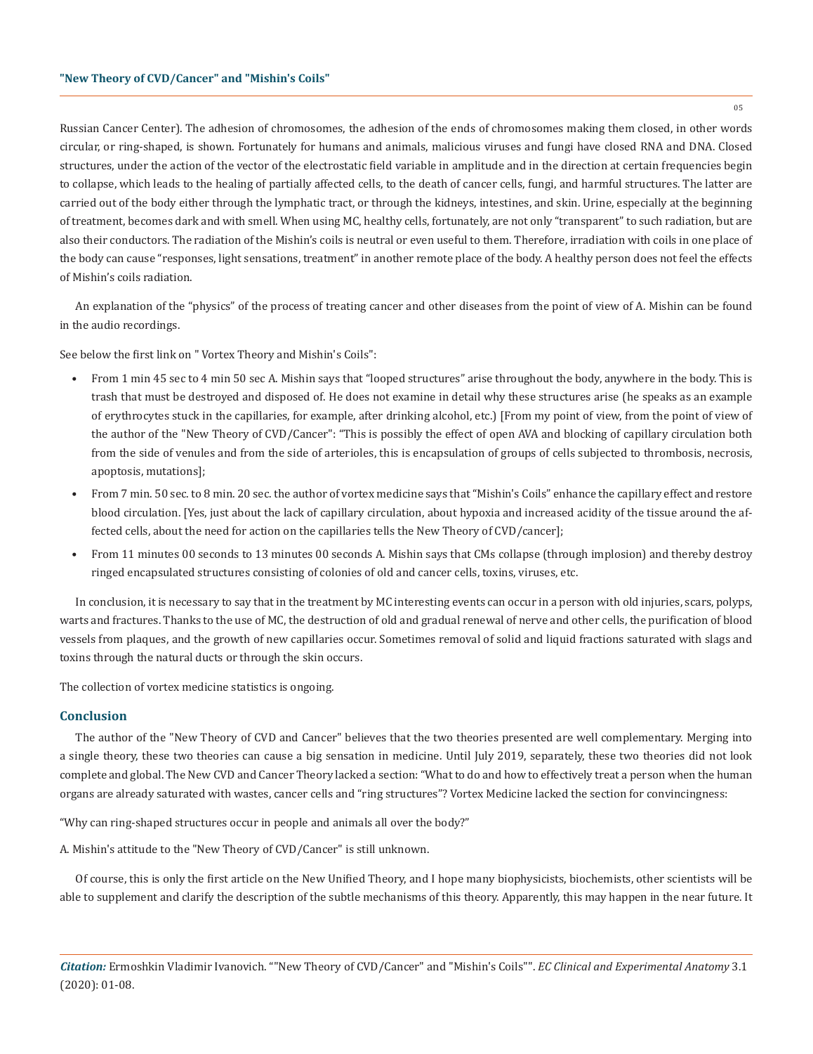Russian Cancer Center). The adhesion of chromosomes, the adhesion of the ends of chromosomes making them closed, in other words circular, or ring-shaped, is shown. Fortunately for humans and animals, malicious viruses and fungi have closed RNA and DNA. Closed structures, under the action of the vector of the electrostatic field variable in amplitude and in the direction at certain frequencies begin to collapse, which leads to the healing of partially affected cells, to the death of cancer cells, fungi, and harmful structures. The latter are carried out of the body either through the lymphatic tract, or through the kidneys, intestines, and skin. Urine, especially at the beginning of treatment, becomes dark and with smell. When using MC, healthy cells, fortunately, are not only "transparent" to such radiation, but are also their conductors. The radiation of the Mishin's coils is neutral or even useful to them. Therefore, irradiation with coils in one place of the body can cause "responses, light sensations, treatment" in another remote place of the body. A healthy person does not feel the effects of Mishin's coils radiation.

An explanation of the "physics" of the process of treating cancer and other diseases from the point of view of A. Mishin can be found in the audio recordings.

See below the first link on " Vortex Theory and Mishin's Coils":

- From 1 min 45 sec to 4 min 50 sec A. Mishin says that "looped structures" arise throughout the body, anywhere in the body. This is trash that must be destroyed and disposed of. He does not examine in detail why these structures arise (he speaks as an example of erythrocytes stuck in the capillaries, for example, after drinking alcohol, etc.) [From my point of view, from the point of view of the author of the "New Theory of CVD/Cancer": "This is possibly the effect of open AVA and blocking of capillary circulation both from the side of venules and from the side of arterioles, this is encapsulation of groups of cells subjected to thrombosis, necrosis, apoptosis, mutations];
- From 7 min. 50 sec. to 8 min. 20 sec. the author of vortex medicine says that "Mishin's Coils" enhance the capillary effect and restore blood circulation. [Yes, just about the lack of capillary circulation, about hypoxia and increased acidity of the tissue around the affected cells, about the need for action on the capillaries tells the New Theory of CVD/cancer];
- From 11 minutes 00 seconds to 13 minutes 00 seconds A. Mishin says that CMs collapse (through implosion) and thereby destroy ringed encapsulated structures consisting of colonies of old and cancer cells, toxins, viruses, etc.

In conclusion, it is necessary to say that in the treatment by MC interesting events can occur in a person with old injuries, scars, polyps, warts and fractures. Thanks to the use of MC, the destruction of old and gradual renewal of nerve and other cells, the purification of blood vessels from plaques, and the growth of new capillaries occur. Sometimes removal of solid and liquid fractions saturated with slags and toxins through the natural ducts or through the skin occurs.

The collection of vortex medicine statistics is ongoing.

## **Conclusion**

The author of the "New Theory of CVD and Cancer" believes that the two theories presented are well complementary. Merging into a single theory, these two theories can cause a big sensation in medicine. Until July 2019, separately, these two theories did not look complete and global. The New CVD and Cancer Theory lacked a section: "What to do and how to effectively treat a person when the human organs are already saturated with wastes, cancer cells and "ring structures"? Vortex Medicine lacked the section for convincingness:

"Why can ring-shaped structures occur in people and animals all over the body?"

A. Mishin's attitude to the "New Theory of CVD/Cancer" is still unknown.

Of course, this is only the first article on the New Unified Theory, and I hope many biophysicists, biochemists, other scientists will be able to supplement and clarify the description of the subtle mechanisms of this theory. Apparently, this may happen in the near future. It

05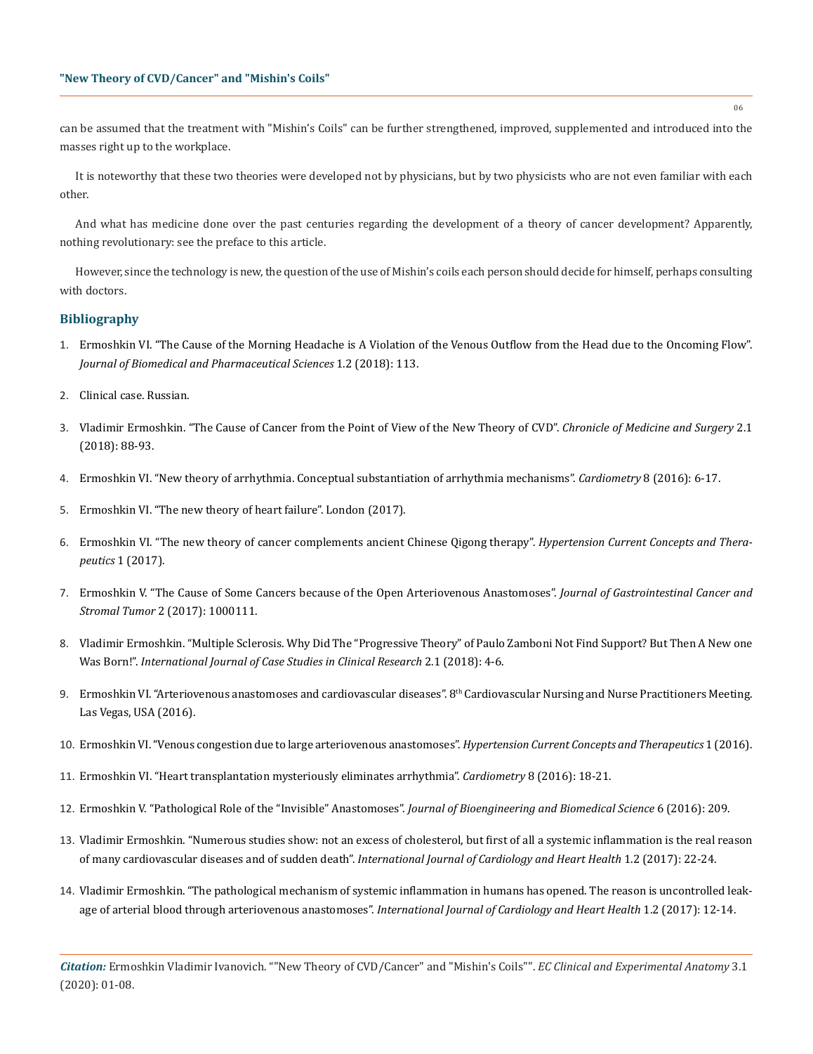can be assumed that the treatment with "Mishin's Coils" can be further strengthened, improved, supplemented and introduced into the masses right up to the workplace.

It is noteworthy that these two theories were developed not by physicians, but by two physicists who are not even familiar with each other.

And what has medicine done over the past centuries regarding the development of a theory of cancer development? Apparently, nothing revolutionary: see the preface to this article.

However, since the technology is new, the question of the use of Mishin's coils each person should decide for himself, perhaps consulting with doctors.

## **Bibliography**

- 1. [Ermoshkin VI. "The Cause of the Morning Headache is A Violation of the Venous Outflow from the Head due to the Oncoming Flow".](https://www.omicsonline.org/open-access/the-cause-of-the-morning-headache-is-a-violation-of-the-venous-outflow-from-the-head-due-to-the-oncoming-flow-105026.html)  *[Journal of Biomedical and Pharmaceutical Sciences](https://www.omicsonline.org/open-access/the-cause-of-the-morning-headache-is-a-violation-of-the-venous-outflow-from-the-head-due-to-the-oncoming-flow-105026.html)* 1.2 (2018): 113.
- 2. [Clinical case. Russian.](http://valsalva.ru/viewtopic.php?t=1101&sid=137874936ec435e6be6626bf749f6a0f)
- 3. Vladimir Ermoshkin. "The Cause of Cancer from the Point of View of the New Theory of CVD". *Chronicle of Medicine and Surgery* 2.1 (2018): 88-93.
- 4. [Ermoshkin VI. "New theory of arrhythmia. Conceptual substantiation of arrhythmia mechanisms".](https://www.cardiometry.net/files/no8-may-2016/cardiometry-no8-may-2016.pdf) *Cardiometry* 8 (2016): 6-17.
- 5. [Ermoshkin VI. "The new theory of heart failure". London \(2017\).](https://heartdiseases.conferenceseries.com/abstract/2017/the-new-theory-of-heart-failure)
- 6. [Ermoshkin VI. "The new theory of cancer complements ancient Chinese Qigong therapy".](https://oatext.com/The-new-theory-of-cancer-complements-ancient-Chinese-Qigong-therapy.php) *Hypertension Current Concepts and Therapeutics* [1 \(2017\).](https://oatext.com/The-new-theory-of-cancer-complements-ancient-Chinese-Qigong-therapy.php)
- 7. Ermoshkin V. "The Cause of Some Cancers because of the Open Arteriovenous Anastomoses". *Journal of Gastrointestinal Cancer and Stromal Tumor* 2 (2017): 1000111.
- 8. [Vladimir Ermoshkin. "Multiple Sclerosis. Why Did The "Progressive Theory" of Paulo Zamboni Not Find Support? But Then A New one](https://biocoreopen.org/articles/Multiple-Sclerosis-Why-Did-The-Progressive-Theory-of-Paulo-Zamboni-Not-Find-Support-But-Then-a-New-one-Was-Born.pdf)  Was Born!". *[International Journal of Case Studies in Clinical Research](https://biocoreopen.org/articles/Multiple-Sclerosis-Why-Did-The-Progressive-Theory-of-Paulo-Zamboni-Not-Find-Support-But-Then-a-New-one-Was-Born.pdf)* 2.1 (2018): 4-6.
- 9. Ermoshkin VI. "Arteriovenous anastomoses and cardiovascular diseases". 8<sup>th</sup> Cardiovascular Nursing and Nurse Practitioners Meeting. [Las Vegas, USA \(2016\).](http://www.omicsonline.org/proceedings/arteriovenous-anastomoses-and-cardiovascular-diseases-48866.html)
- 10. [Ermoshkin VI. "Venous congestion due to large arteriovenous anastomoses".](https://oatext.com/Venous-congestion-due-to-large-arteriovenous-anastomoses.php) *Hypertension Current Concepts and Therapeutics* 1 (2016).
- 11. [Ermoshkin VI. "Heart transplantation mysteriously eliminates arrhythmia".](https://www.researchgate.net/publication/303468075_Heart_transplantation_mysteriously_eliminates_arrhythmia) *Cardiometry* 8 (2016): 18-21.
- 12. [Ermoshkin V. "Pathological Role of the "Invisible" Anastomoses".](https://www.omicsonline.org/open-access/pathological-role-of-the-invisible-anastomoses-2155-9538-1000209.php?aid=82749) *Journal of Bioengineering and Biomedical Science* 6 (2016): 209.
- 13. [Vladimir Ermoshkin. "Numerous studies show: not an excess of cholesterol, but first of all a systemic inflammation is the real reason](https://biocoreopen.org/ijch/Numerous-Studies-Show-Not-an-Excess-of-Cholesterol-but-First-of-all-a-Systemic-Inflammation-is-The-Real-Reason-of-Many-Cardiovascular-Diseases-and-of-Sudden-Death.php) of many cardiovascular diseases and of sudden death". *[International Journal of Cardiology and Heart Health](https://biocoreopen.org/ijch/Numerous-Studies-Show-Not-an-Excess-of-Cholesterol-but-First-of-all-a-Systemic-Inflammation-is-The-Real-Reason-of-Many-Cardiovascular-Diseases-and-of-Sudden-Death.php)* 1.2 (2017): 22-24.
- 14. [Vladimir Ermoshkin. "The pathological mechanism of systemic inflammation in humans has opened. The reason is uncontrolled leak](https://biocoreopen.org/ijch/The-Pathological-Mechanism-of-Systemic-Inflammation-in-Humans-Has-Opened-The-Reason-is-Uncontrolled-Leakage-of-Arterial-Blood-Through-Arteriovenous-Anastomoses.php)age of arterial blood through arteriovenous anastomoses". *[International Journal of Cardiology and Heart Health](https://biocoreopen.org/ijch/The-Pathological-Mechanism-of-Systemic-Inflammation-in-Humans-Has-Opened-The-Reason-is-Uncontrolled-Leakage-of-Arterial-Blood-Through-Arteriovenous-Anastomoses.php)* 1.2 (2017): 12-14.

06

*Citation:* Ermoshkin Vladimir Ivanovich. ""New Theory of CVD/Cancer" and "Mishin's Coils"". *EC Clinical and Experimental Anatomy* 3.1 (2020): 01-08.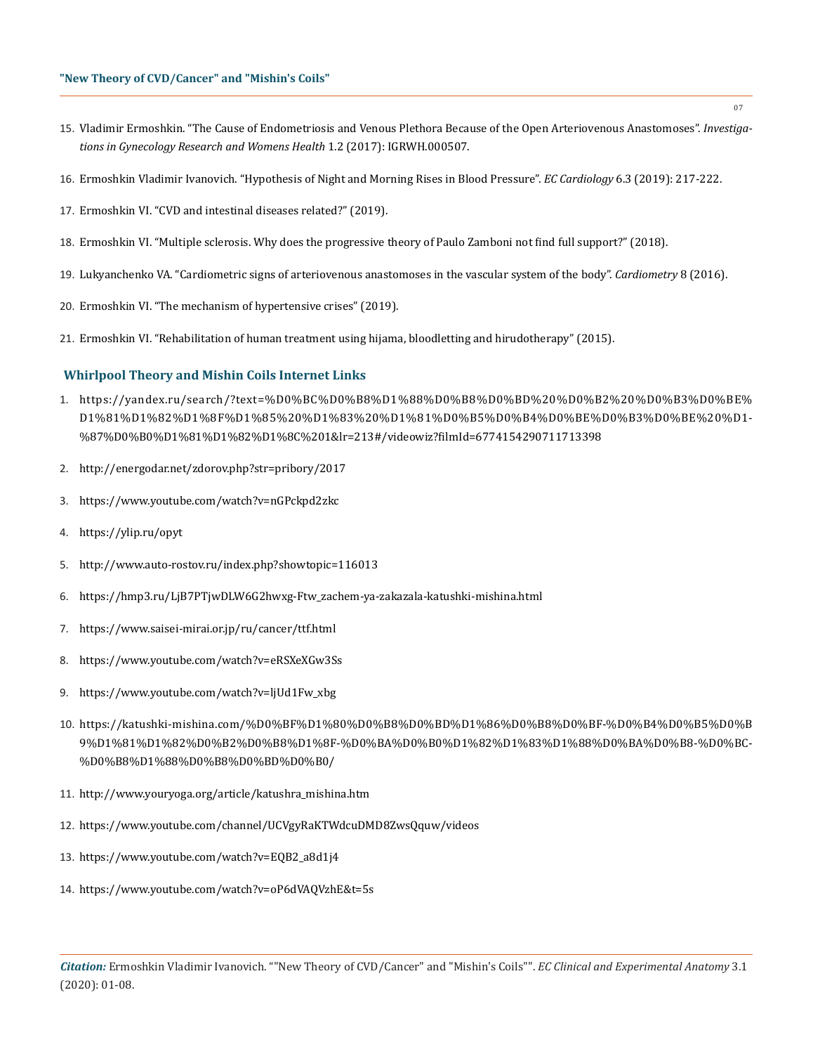- 15. [Vladimir Ermoshkin. "The Cause of Endometriosis and Venous Plethora Because of the Open Arteriovenous Anastomoses".](http://crimsonpublishers.com/igrwh/fulltext/IGRWH.000507.php) *Investiga[tions in Gynecology Research and Womens Health](http://crimsonpublishers.com/igrwh/fulltext/IGRWH.000507.php)* 1.2 (2017): IGRWH.000507.
- 16. [Ermoshkin Vladimir Ivanovich. "Hypothesis of Night and Morning Rises in Blood Pressure".](https://www.ecronicon.com/eccy/pdf/ECCY-06-00271.pdf) *EC Cardiology* 6.3 (2019): 217-222.
- 17. Ermoshkin VI. "CVD and intestinal diseases related?" (2019).
- 18. [Ermoshkin VI. "Multiple sclerosis. Why does the progressive theory of Paulo Zamboni not find full support?" \(2018\).](http://www.medlinks.ru/article.php?sid=76078&query=%E5%F0%EC%EE%F8%EA%E8%ED)
- 19. [Lukyanchenko VA. "Cardiometric signs of arteriovenous anastomoses in the vascular system of the body".](https://www.researchgate.net/publication/303467989_Cardiometric_signs_of_performance_of_arteriovenous_anastomosis_in_human_cardiovascular_system) *Cardiometry* 8 (2016).
- 20. [Ermoshkin VI. "The mechanism of hypertensive crises" \(2019\).](http://www.medlinks.ru/article.php?sid=81798)
- 21. [Ermoshkin VI. "Rehabilitation of human treatment using hijama, bloodletting and hirudotherapy" \(2015\).](http://www.medlinks.ru/article.php?sid=64955)

## **Whirlpool Theory and Mishin Coils Internet Links**

- 1. [https://yandex.ru/search/?text=%D0%BC%D0%B8%D1%88%D0%B8%D0%BD%20%D0%B2%20%D0%B3%D0%BE%](https://yandex.ru/search/?text=%D0%BC%D0%B8%D1%88%D0%B8%D0%BD%20%D0%B2%20%D0%B3%D0%BE%D1%81%D1%82%D1%8F%D1%85%20%D1%83%20%D1%81%D0%B5%D0%B4%D0%BE%D0%B3%D0%BE%20%D1%87%D0%B0%D1%81%D1%82%D1%8C%201&lr=213#/videowiz?filmId=6774154290711713398) D1[%81%D1%82%D1%8F%D1%85%20%D1%83%20%D1%81%D0%B5%D0%B4%D0%BE%D0%B3%D0%BE%20%D1](https://yandex.ru/search/?text=%D0%BC%D0%B8%D1%88%D0%B8%D0%BD%20%D0%B2%20%D0%B3%D0%BE%D1%81%D1%82%D1%8F%D1%85%20%D1%83%20%D1%81%D0%B5%D0%B4%D0%BE%D0%B3%D0%BE%20%D1%87%D0%B0%D1%81%D1%82%D1%8C%201&lr=213#/videowiz?filmId=6774154290711713398)- [%87%D0%B0%D1%81%D1%82%D1%8C%201&lr=213#/videowiz?filmId=6774154290711713398](https://yandex.ru/search/?text=%D0%BC%D0%B8%D1%88%D0%B8%D0%BD%20%D0%B2%20%D0%B3%D0%BE%D1%81%D1%82%D1%8F%D1%85%20%D1%83%20%D1%81%D0%B5%D0%B4%D0%BE%D0%B3%D0%BE%20%D1%87%D0%B0%D1%81%D1%82%D1%8C%201&lr=213#/videowiz?filmId=6774154290711713398)
- 2. <http://energodar.net/zdorov.php?str=pribory/2017>
- 3. <https://www.youtube.com/watch?v=nGPckpd2zkc>
- 4. <https://ylip.ru/opyt>
- 5. <http://www.auto-rostov.ru/index.php?showtopic=116013>
- 6. [https://hmp3.ru/LjB7PTjwDLW6G2hwxg-Ftw\\_zachem-ya-zakazala-katushki-mishina.html](https://hmp3.ru/LjB7PTjwDLW6G2hwxg-Ftw_zachem-ya-zakazala-katushki-mishina.html)
- 7. <https://www.saisei-mirai.or.jp/ru/cancer/ttf.html>
- 8. <https://www.youtube.com/watch?v=eRSXeXGw3Ss>
- 9. [https://www.youtube.com/watch?v=ljUd1Fw\\_xbg](https://www.youtube.com/watch?v=ljUd1Fw_xbg)
- 10. [https://katushki-mishina.com/%D0%BF%D1%80%D0%B8%D0%BD%D1%86%D0%B8%D0%BF-%D0%B4%D0%B5%D0%B](https://katushki-mishina.com/%D0%BF%D1%80%D0%B8%D0%BD%D1%86%D0%B8%D0%BF-%D0%B4%D0%B5%D0%B9%D1%81%D1%82%D0%B2%D0%B8%D1%8F-%D0%BA%D0%B0%D1%82%D1%83%D1%88%D0%BA%D0%B8-%D0%BC%D0%B8%D1%88%D0%B8%D0%BD%D0%B0/) [9%D1%81%D1%82%D0%B2%D0%B8%D1%8F-%D0%BA%D0%B0%D1%82%D1%83%D1%88%D0%BA%D0%B8-%D0%BC](https://katushki-mishina.com/%D0%BF%D1%80%D0%B8%D0%BD%D1%86%D0%B8%D0%BF-%D0%B4%D0%B5%D0%B9%D1%81%D1%82%D0%B2%D0%B8%D1%8F-%D0%BA%D0%B0%D1%82%D1%83%D1%88%D0%BA%D0%B8-%D0%BC%D0%B8%D1%88%D0%B8%D0%BD%D0%B0/)- [%D0%B8%D1%88%D0%B8%D0%BD%D0%B0/](https://katushki-mishina.com/%D0%BF%D1%80%D0%B8%D0%BD%D1%86%D0%B8%D0%BF-%D0%B4%D0%B5%D0%B9%D1%81%D1%82%D0%B2%D0%B8%D1%8F-%D0%BA%D0%B0%D1%82%D1%83%D1%88%D0%BA%D0%B8-%D0%BC%D0%B8%D1%88%D0%B8%D0%BD%D0%B0/)
- 11. [http://www.youryoga.org/article/katushra\\_mishina.htm](http://www.youryoga.org/article/katushra_mishina.htm)
- 12. <https://www.youtube.com/channel/UCVgyRaKTWdcuDMD8ZwsQquw/videos>
- 13. [https://www.youtube.com/watch?v=EQB2\\_a8d1j4](https://www.youtube.com/watch?v=EQB2_a8d1j4)
- 14. <https://www.youtube.com/watch?v=oP6dVAQVzhE&t=5s>